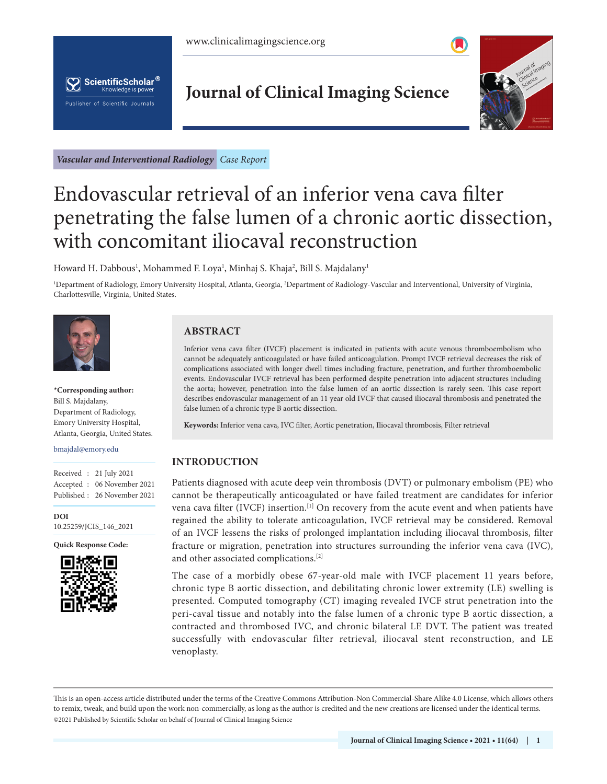



# **Journal of Clinical Imaging Science**



*Vascular and Interventional Radiology Case Report*

# Endovascular retrieval of an inferior vena cava filter penetrating the false lumen of a chronic aortic dissection, with concomitant iliocaval reconstruction

Howard H. Dabbous<sup>1</sup>, Mohammed F. Loya<sup>1</sup>, Minhaj S. Khaja<sup>2</sup>, Bill S. Majdalany<sup>1</sup>

<sup>1</sup>Department of Radiology, Emory University Hospital, Atlanta, Georgia, <sup>2</sup>Department of Radiology-Vascular and Interventional, University of Virginia, Charlottesville, Virginia, United States.



**\*Corresponding author:**  Bill S. Majdalany, Department of Radiology, Emory University Hospital, Atlanta, Georgia, United States.

bmajdal@emory.edu

|  | Received: 21 July 2021      |
|--|-----------------------------|
|  | Accepted : 06 November 2021 |
|  | Published: 26 November 2021 |

**[DOI](https://dx.doi.org/10.25259/JCIS_146_2021)** [10.25259/JCIS\\_146\\_2021](https://dx.doi.org/10.25259/JCIS_146_2021)

**Quick Response Code:**



## **ABSTRACT**

Inferior vena cava filter (IVCF) placement is indicated in patients with acute venous thromboembolism who cannot be adequately anticoagulated or have failed anticoagulation. Prompt IVCF retrieval decreases the risk of complications associated with longer dwell times including fracture, penetration, and further thromboembolic events. Endovascular IVCF retrieval has been performed despite penetration into adjacent structures including the aorta; however, penetration into the false lumen of an aortic dissection is rarely seen. This case report describes endovascular management of an 11 year old IVCF that caused iliocaval thrombosis and penetrated the false lumen of a chronic type B aortic dissection.

**Keywords:** Inferior vena cava, IVC filter, Aortic penetration, Iliocaval thrombosis, Filter retrieval

### **INTRODUCTION**

Patients diagnosed with acute deep vein thrombosis (DVT) or pulmonary embolism (PE) who cannot be therapeutically anticoagulated or have failed treatment are candidates for inferior vena cava filter (IVCF) insertion.<sup>[1]</sup> On recovery from the acute event and when patients have regained the ability to tolerate anticoagulation, IVCF retrieval may be considered. Removal of an IVCF lessens the risks of prolonged implantation including iliocaval thrombosis, filter fracture or migration, penetration into structures surrounding the inferior vena cava (IVC), and other associated complications.[2]

The case of a morbidly obese 67-year-old male with IVCF placement 11 years before, chronic type B aortic dissection, and debilitating chronic lower extremity (LE) swelling is presented. Computed tomography (CT) imaging revealed IVCF strut penetration into the peri-caval tissue and notably into the false lumen of a chronic type B aortic dissection, a contracted and thrombosed IVC, and chronic bilateral LE DVT. The patient was treated successfully with endovascular filter retrieval, iliocaval stent reconstruction, and LE venoplasty.

is is an open-access article distributed under the terms of the Creative Commons Attribution-Non Commercial-Share Alike 4.0 License, which allows others to remix, tweak, and build upon the work non-commercially, as long as the author is credited and the new creations are licensed under the identical terms. ©2021 Published by Scientific Scholar on behalf of Journal of Clinical Imaging Science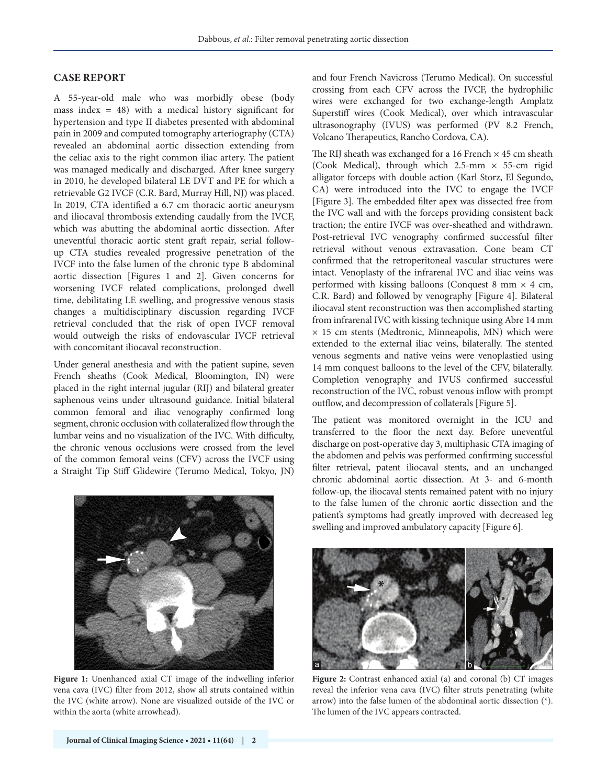#### **CASE REPORT**

A 55-year-old male who was morbidly obese (body mass index  $= 48$ ) with a medical history significant for hypertension and type II diabetes presented with abdominal pain in 2009 and computed tomography arteriography (CTA) revealed an abdominal aortic dissection extending from the celiac axis to the right common iliac artery. The patient was managed medically and discharged. After knee surgery in 2010, he developed bilateral LE DVT and PE for which a retrievable G2 IVCF (C.R. Bard, Murray Hill, NJ) was placed. In 2019, CTA identified a 6.7 cm thoracic aortic aneurysm and iliocaval thrombosis extending caudally from the IVCF, which was abutting the abdominal aortic dissection. After uneventful thoracic aortic stent graft repair, serial followup CTA studies revealed progressive penetration of the IVCF into the false lumen of the chronic type B abdominal aortic dissection [Figures 1 and 2]. Given concerns for worsening IVCF related complications, prolonged dwell time, debilitating LE swelling, and progressive venous stasis changes a multidisciplinary discussion regarding IVCF retrieval concluded that the risk of open IVCF removal would outweigh the risks of endovascular IVCF retrieval with concomitant iliocaval reconstruction.

Under general anesthesia and with the patient supine, seven French sheaths (Cook Medical, Bloomington, IN) were placed in the right internal jugular (RIJ) and bilateral greater saphenous veins under ultrasound guidance. Initial bilateral common femoral and iliac venography confirmed long segment, chronic occlusion with collateralized flow through the lumbar veins and no visualization of the IVC. With difficulty, the chronic venous occlusions were crossed from the level of the common femoral veins (CFV) across the IVCF using a Straight Tip Stiff Glidewire (Terumo Medical, Tokyo, JN)



**Figure 1:** Unenhanced axial CT image of the indwelling inferior vena cava (IVC) filter from 2012, show all struts contained within the IVC (white arrow). None are visualized outside of the IVC or within the aorta (white arrowhead).

and four French Navicross (Terumo Medical). On successful crossing from each CFV across the IVCF, the hydrophilic wires were exchanged for two exchange-length Amplatz Superstiff wires (Cook Medical), over which intravascular ultrasonography (IVUS) was performed (PV 8.2 French, Volcano Therapeutics, Rancho Cordova, CA).

The RIJ sheath was exchanged for a 16 French  $\times$  45 cm sheath (Cook Medical), through which  $2.5\text{-mm} \times 55\text{-cm}$  rigid alligator forceps with double action (Karl Storz, El Segundo, CA) were introduced into the IVC to engage the IVCF [Figure 3]. The embedded filter apex was dissected free from the IVC wall and with the forceps providing consistent back traction; the entire IVCF was over-sheathed and withdrawn. Post-retrieval IVC venography confirmed successful filter retrieval without venous extravasation. Cone beam CT confirmed that the retroperitoneal vascular structures were intact. Venoplasty of the infrarenal IVC and iliac veins was performed with kissing balloons (Conquest 8 mm  $\times$  4 cm, C.R. Bard) and followed by venography [Figure 4]. Bilateral iliocaval stent reconstruction was then accomplished starting from infrarenal IVC with kissing technique using Abre 14 mm  $\times$  15 cm stents (Medtronic, Minneapolis, MN) which were extended to the external iliac veins, bilaterally. The stented venous segments and native veins were venoplastied using 14 mm conquest balloons to the level of the CFV, bilaterally. Completion venography and IVUS confirmed successful reconstruction of the IVC, robust venous inflow with prompt outflow, and decompression of collaterals [Figure 5].

The patient was monitored overnight in the ICU and transferred to the floor the next day. Before uneventful discharge on post-operative day 3, multiphasic CTA imaging of the abdomen and pelvis was performed confirming successful filter retrieval, patent iliocaval stents, and an unchanged chronic abdominal aortic dissection. At 3- and 6-month follow-up, the iliocaval stents remained patent with no injury to the false lumen of the chronic aortic dissection and the patient's symptoms had greatly improved with decreased leg swelling and improved ambulatory capacity [Figure 6].



**Figure 2:** Contrast enhanced axial (a) and coronal (b) CT images reveal the inferior vena cava (IVC) filter struts penetrating (white arrow) into the false lumen of the abdominal aortic dissection (\*). The lumen of the IVC appears contracted.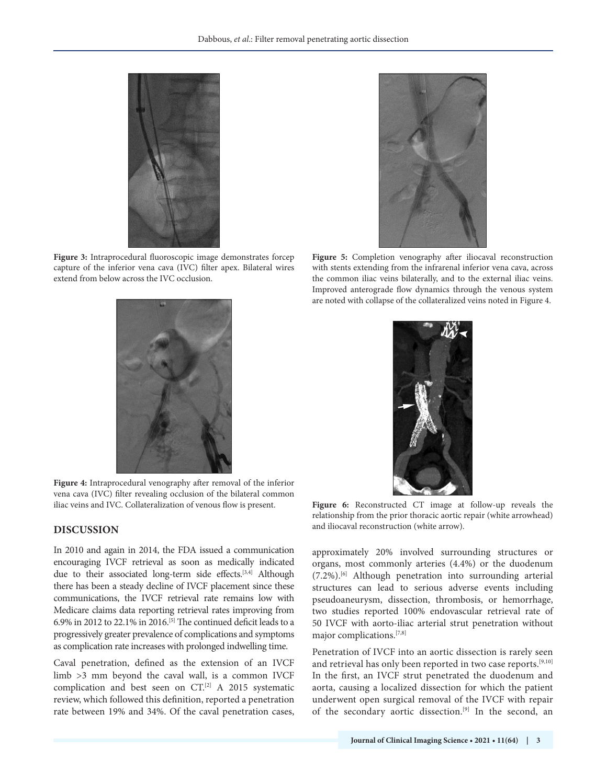

**Figure 3:** Intraprocedural fluoroscopic image demonstrates forcep capture of the inferior vena cava (IVC) filter apex. Bilateral wires extend from below across the IVC occlusion.



**Figure 4:** Intraprocedural venography after removal of the inferior vena cava (IVC) filter revealing occlusion of the bilateral common iliac veins and IVC. Collateralization of venous flow is present. **Figure 6:** Reconstructed CT image at follow-up reveals the

#### **DISCUSSION**

In 2010 and again in 2014, the FDA issued a communication encouraging IVCF retrieval as soon as medically indicated due to their associated long-term side effects.<sup>[3,4]</sup> Although there has been a steady decline of IVCF placement since these communications, the IVCF retrieval rate remains low with Medicare claims data reporting retrieval rates improving from 6.9% in 2012 to 22.1% in 2016.<sup>[5]</sup> The continued deficit leads to a progressively greater prevalence of complications and symptoms as complication rate increases with prolonged indwelling time.

Caval penetration, defined as the extension of an IVCF limb >3 mm beyond the caval wall, is a common IVCF complication and best seen on CT.[2] A 2015 systematic review, which followed this definition, reported a penetration rate between 19% and 34%. Of the caval penetration cases,



**Figure 5:** Completion venography after iliocaval reconstruction with stents extending from the infrarenal inferior vena cava, across the common iliac veins bilaterally, and to the external iliac veins. Improved anterograde flow dynamics through the venous system are noted with collapse of the collateralized veins noted in Figure 4.



relationship from the prior thoracic aortic repair (white arrowhead) and iliocaval reconstruction (white arrow).

approximately 20% involved surrounding structures or organs, most commonly arteries (4.4%) or the duodenum (7.2%).[6] Although penetration into surrounding arterial structures can lead to serious adverse events including pseudoaneurysm, dissection, thrombosis, or hemorrhage, two studies reported 100% endovascular retrieval rate of 50 IVCF with aorto-iliac arterial strut penetration without major complications.[7,8]

Penetration of IVCF into an aortic dissection is rarely seen and retrieval has only been reported in two case reports.<sup>[9,10]</sup> In the first, an IVCF strut penetrated the duodenum and aorta, causing a localized dissection for which the patient underwent open surgical removal of the IVCF with repair of the secondary aortic dissection.[9] In the second, an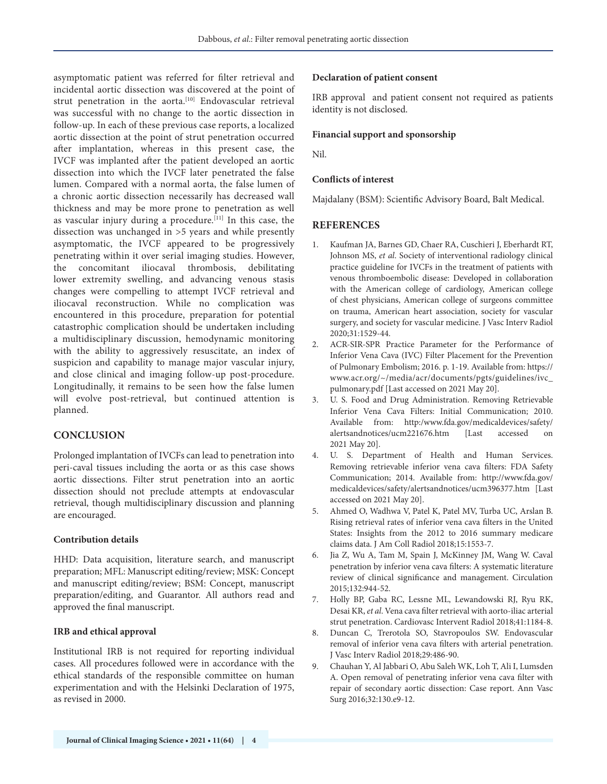asymptomatic patient was referred for filter retrieval and incidental aortic dissection was discovered at the point of strut penetration in the aorta.<sup>[10]</sup> Endovascular retrieval was successful with no change to the aortic dissection in follow-up. In each of these previous case reports, a localized aortic dissection at the point of strut penetration occurred after implantation, whereas in this present case, the IVCF was implanted after the patient developed an aortic dissection into which the IVCF later penetrated the false lumen. Compared with a normal aorta, the false lumen of a chronic aortic dissection necessarily has decreased wall thickness and may be more prone to penetration as well as vascular injury during a procedure.<sup>[11]</sup> In this case, the dissection was unchanged in >5 years and while presently asymptomatic, the IVCF appeared to be progressively penetrating within it over serial imaging studies. However, the concomitant iliocaval thrombosis, debilitating lower extremity swelling, and advancing venous stasis changes were compelling to attempt IVCF retrieval and iliocaval reconstruction. While no complication was encountered in this procedure, preparation for potential catastrophic complication should be undertaken including a multidisciplinary discussion, hemodynamic monitoring with the ability to aggressively resuscitate, an index of suspicion and capability to manage major vascular injury, and close clinical and imaging follow-up post-procedure. Longitudinally, it remains to be seen how the false lumen will evolve post-retrieval, but continued attention is planned.

#### **CONCLUSION**

Prolonged implantation of IVCFs can lead to penetration into peri-caval tissues including the aorta or as this case shows aortic dissections. Filter strut penetration into an aortic dissection should not preclude attempts at endovascular retrieval, though multidisciplinary discussion and planning are encouraged.

#### **Contribution details**

HHD: Data acquisition, literature search, and manuscript preparation; MFL: Manuscript editing/review; MSK: Concept and manuscript editing/review; BSM: Concept, manuscript preparation/editing, and Guarantor. All authors read and approved the final manuscript.

#### **IRB and ethical approval**

Institutional IRB is not required for reporting individual cases. All procedures followed were in accordance with the ethical standards of the responsible committee on human experimentation and with the Helsinki Declaration of 1975, as revised in 2000.

#### **Declaration of patient consent**

IRB approval and patient consent not required as patients identity is not disclosed.

#### **Financial support and sponsorship**

Nil.

#### **Conflicts of interest**

Majdalany (BSM): Scientific Advisory Board, Balt Medical.

#### **REFERENCES**

- 1. Kaufman JA, Barnes GD, Chaer RA, Cuschieri J, Eberhardt RT, Johnson MS, *et al*. Society of interventional radiology clinical practice guideline for IVCFs in the treatment of patients with venous thromboembolic disease: Developed in collaboration with the American college of cardiology, American college of chest physicians, American college of surgeons committee on trauma, American heart association, society for vascular surgery, and society for vascular medicine. J Vasc Interv Radiol 2020;31:1529-44.
- 2. ACR-SIR-SPR Practice Parameter for the Performance of Inferior Vena Cava (IVC) Filter Placement for the Prevention of Pulmonary Embolism; 2016. p. 1-19. Available from: https:// www.acr.org/~/media/acr/documents/pgts/guidelines/ivc\_ pulmonary.pdf [Last accessed on 2021 May 20].
- 3. U. S. Food and Drug Administration. Removing Retrievable Inferior Vena Cava Filters: Initial Communication; 2010. Available from: http:/www.fda.gov/medicaldevices/safety/ alertsandnotices/ucm221676.htm [Last accessed on 2021 May 20].
- 4. U. S. Department of Health and Human Services. Removing retrievable inferior vena cava filters: FDA Safety Communication; 2014. Available from: http://www.fda.gov/ medicaldevices/safety/alertsandnotices/ucm396377.htm [Last accessed on 2021 May 20].
- 5. Ahmed O, Wadhwa V, Patel K, Patel MV, Turba UC, Arslan B. Rising retrieval rates of inferior vena cava filters in the United States: Insights from the 2012 to 2016 summary medicare claims data. J Am Coll Radiol 2018;15:1553-7.
- 6. Jia Z, Wu A, Tam M, Spain J, McKinney JM, Wang W. Caval penetration by inferior vena cava filters: A systematic literature review of clinical significance and management. Circulation 2015;132:944-52.
- 7. Holly BP, Gaba RC, Lessne ML, Lewandowski RJ, Ryu RK, Desai KR, *et al*. Vena cava filter retrieval with aorto-iliac arterial strut penetration. Cardiovasc Intervent Radiol 2018;41:1184-8.
- 8. Duncan C, Trerotola SO, Stavropoulos SW. Endovascular removal of inferior vena cava filters with arterial penetration. J Vasc Interv Radiol 2018;29:486-90.
- 9. Chauhan Y, Al Jabbari O, Abu Saleh WK, Loh T, Ali I, Lumsden A. Open removal of penetrating inferior vena cava filter with repair of secondary aortic dissection: Case report. Ann Vasc Surg 2016;32:130.e9-12.